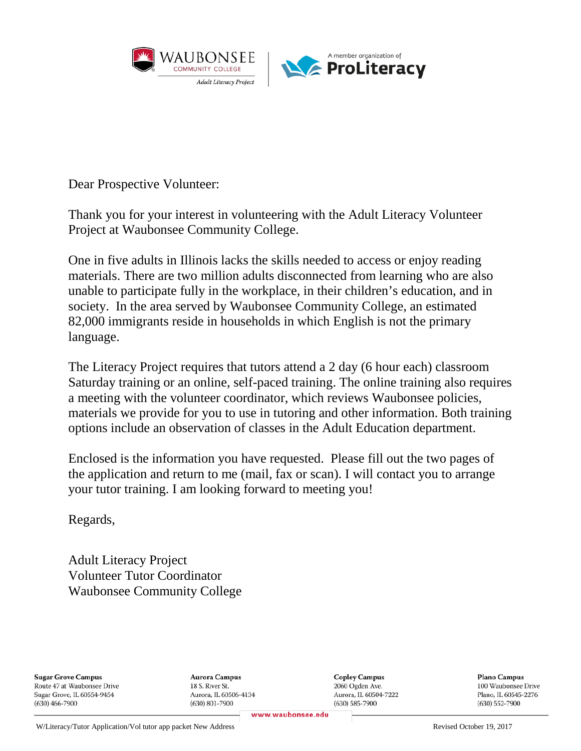

Dear Prospective Volunteer:

Thank you for your interest in volunteering with the Adult Literacy Volunteer Project at Waubonsee Community College.

One in five adults in Illinois lacks the skills needed to access or enjoy reading materials. There are two million adults disconnected from learning who are also unable to participate fully in the workplace, in their children's education, and in society. In the area served by Waubonsee Community College, an estimated 82,000 immigrants reside in households in which English is not the primary language.

The Literacy Project requires that tutors attend a 2 day (6 hour each) classroom Saturday training or an online, self-paced training. The online training also requires a meeting with the volunteer coordinator, which reviews Waubonsee policies, materials we provide for you to use in tutoring and other information. Both training options include an observation of classes in the Adult Education department.

Enclosed is the information you have requested. Please fill out the two pages of the application and return to me (mail, fax or scan). I will contact you to arrange your tutor training. I am looking forward to meeting you!

Regards,

Adult Literacy Project Volunteer Tutor Coordinator Waubonsee Community College

**Sugar Grove Campus** Route 47 at Waubonsee Drive Sugar Grove, IL 60554-9454  $(630)$  466-7900

Aurora Campus 18 S. River St. Aurora, IL 60506-4134  $(630)$  801-7900

**Copley Campus** 2060 Ogden Ave. Aurora, IL 60504-7222  $(630) 585 - 7900$ 

Plano Campus 100 Waubonsee Drive Plano. IL 60545-2276  $(630) 552 - 7900$ 

www.waubonsee.edu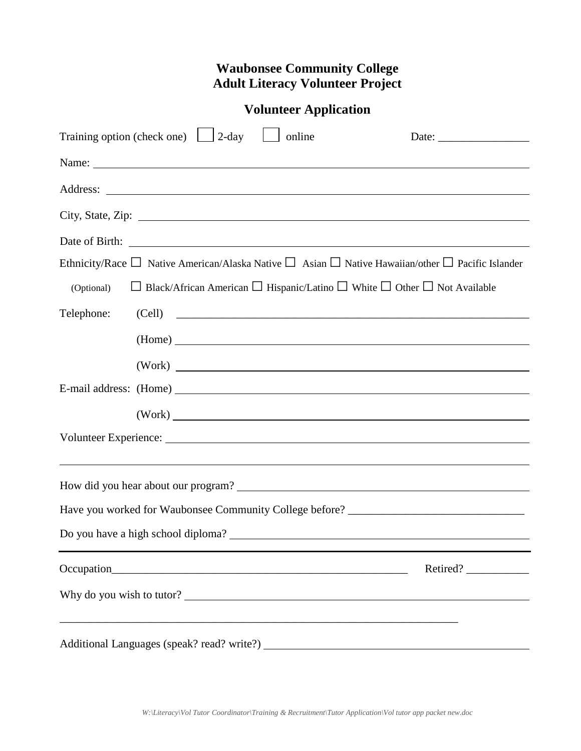# **Waubonsee Community College Adult Literacy Volunteer Project**

| Training option (check one) $\Box$ 2-day<br>online<br>Date: $\frac{1}{\sqrt{1-\frac{1}{2}} \cdot \frac{1}{2}}$        |  |
|-----------------------------------------------------------------------------------------------------------------------|--|
|                                                                                                                       |  |
|                                                                                                                       |  |
|                                                                                                                       |  |
|                                                                                                                       |  |
| Ethnicity/Race $\Box$ Native American/Alaska Native $\Box$ Asian $\Box$ Native Hawaiian/other $\Box$ Pacific Islander |  |
| $\Box$ Black/African American $\Box$ Hispanic/Latino $\Box$ White $\Box$ Other $\Box$ Not Available<br>(Optional)     |  |
| Telephone:<br>(Cell)                                                                                                  |  |
| (Home)                                                                                                                |  |
| (Work)                                                                                                                |  |
| E-mail address: (Home)                                                                                                |  |
| (Work)                                                                                                                |  |
|                                                                                                                       |  |
|                                                                                                                       |  |
|                                                                                                                       |  |
| Have you worked for Waubonsee Community College before? _________________________                                     |  |
| Do you have a high school diploma?                                                                                    |  |
|                                                                                                                       |  |
| Retired?                                                                                                              |  |
| Why do you wish to tutor?                                                                                             |  |
| ,我们也不能在这里的时候,我们也不能在这里的时候,我们也不能会在这里的时候,我们也不能会在这里的时候,我们也不能会在这里的时候,我们也不能会在这里的时候,我们也不                                     |  |
|                                                                                                                       |  |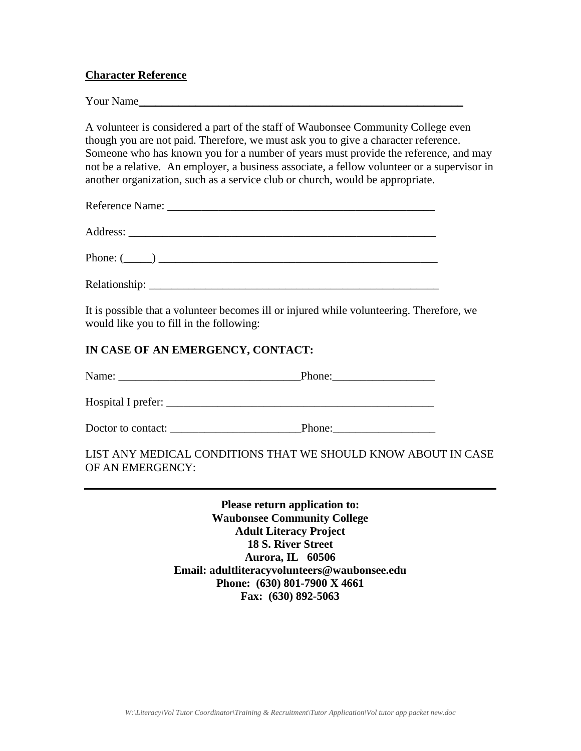# **Character Reference**

Your Name

A volunteer is considered a part of the staff of Waubonsee Community College even though you are not paid. Therefore, we must ask you to give a character reference. Someone who has known you for a number of years must provide the reference, and may not be a relative. An employer, a business associate, a fellow volunteer or a supervisor in another organization, such as a service club or church, would be appropriate.

| Phone: $(\_\_)$ |  |  |
|-----------------|--|--|
|                 |  |  |

It is possible that a volunteer becomes ill or injured while volunteering. Therefore, we would like you to fill in the following:

# **IN CASE OF AN EMERGENCY, CONTACT:**

Hospital I prefer:

Doctor to contact: <br>  $\blacksquare$ 

# LIST ANY MEDICAL CONDITIONS THAT WE SHOULD KNOW ABOUT IN CASE OF AN EMERGENCY:

**Please return application to: Waubonsee Community College Adult Literacy Project 18 S. River Street Aurora, IL 60506 Email: adultliteracyvolunteers@waubonsee.edu Phone: (630) 801-7900 X 4661 Fax: (630) 892-5063**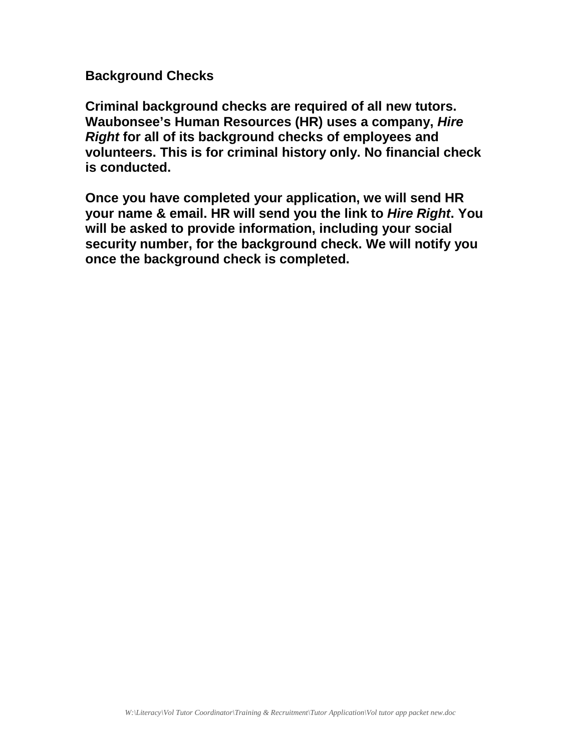**Background Checks**

**Criminal background checks are required of all new tutors. Waubonsee's Human Resources (HR) uses a company,** *Hire Right* **for all of its background checks of employees and volunteers. This is for criminal history only. No financial check is conducted.**

**Once you have completed your application, we will send HR your name & email. HR will send you the link to** *Hire Right***. You will be asked to provide information, including your social security number, for the background check. We will notify you once the background check is completed.**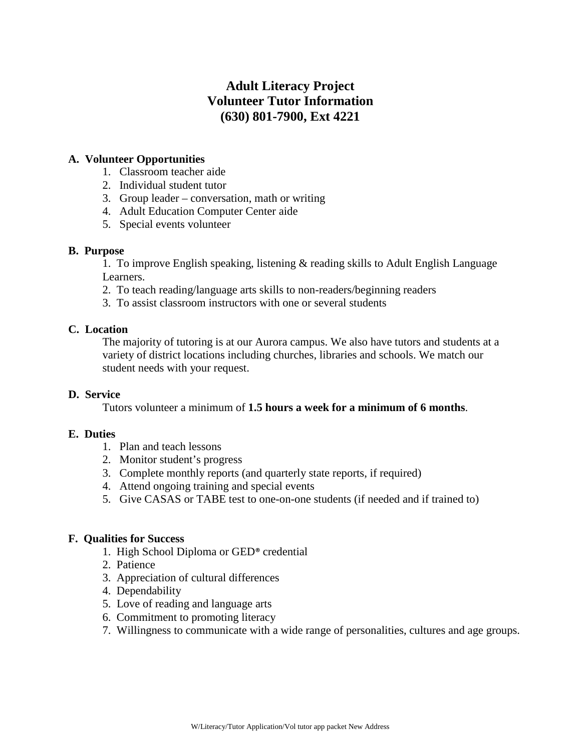# **Adult Literacy Project Volunteer Tutor Information (630) 801-7900, Ext 4221**

# **A. Volunteer Opportunities**

- 1. Classroom teacher aide
- 2. Individual student tutor
- 3. Group leader conversation, math or writing
- 4. Adult Education Computer Center aide
- 5. Special events volunteer

# **B. Purpose**

1. To improve English speaking, listening & reading skills to Adult English Language Learners.

- 2. To teach reading/language arts skills to non-readers/beginning readers
- 3. To assist classroom instructors with one or several students

# **C. Location**

The majority of tutoring is at our Aurora campus. We also have tutors and students at a variety of district locations including churches, libraries and schools. We match our student needs with your request.

# **D. Service**

Tutors volunteer a minimum of **1.5 hours a week for a minimum of 6 months**.

# **E. Duties**

- 1. Plan and teach lessons
- 2. Monitor student's progress
- 3. Complete monthly reports (and quarterly state reports, if required)
- 4. Attend ongoing training and special events
- 5. Give CASAS or TABE test to one-on-one students (if needed and if trained to)

# **F. Qualities for Success**

- 1. High School Diploma or GED® credential
- 2. Patience
- 3. Appreciation of cultural differences
- 4. Dependability
- 5. Love of reading and language arts
- 6. Commitment to promoting literacy
- 7. Willingness to communicate with a wide range of personalities, cultures and age groups.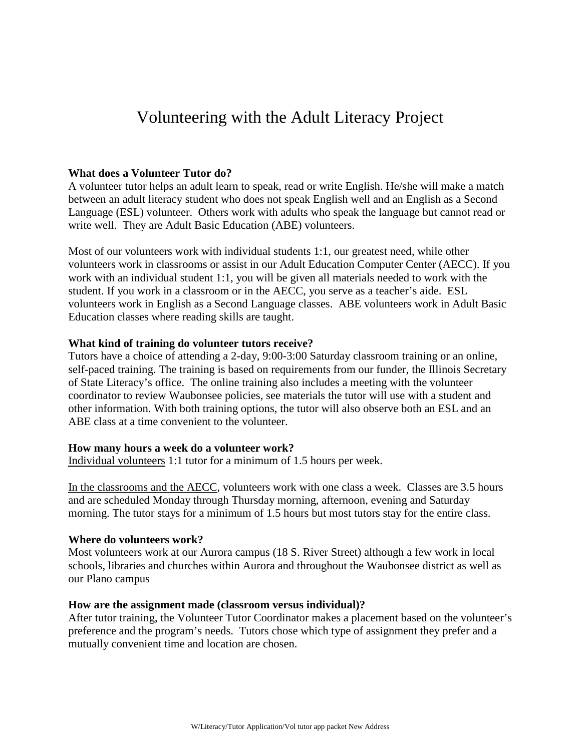# Volunteering with the Adult Literacy Project

#### **What does a Volunteer Tutor do?**

A volunteer tutor helps an adult learn to speak, read or write English. He/she will make a match between an adult literacy student who does not speak English well and an English as a Second Language (ESL) volunteer. Others work with adults who speak the language but cannot read or write well. They are Adult Basic Education (ABE) volunteers.

Most of our volunteers work with individual students 1:1, our greatest need, while other volunteers work in classrooms or assist in our Adult Education Computer Center (AECC). If you work with an individual student 1:1, you will be given all materials needed to work with the student. If you work in a classroom or in the AECC, you serve as a teacher's aide. ESL volunteers work in English as a Second Language classes. ABE volunteers work in Adult Basic Education classes where reading skills are taught.

#### **What kind of training do volunteer tutors receive?**

Tutors have a choice of attending a 2-day, 9:00-3:00 Saturday classroom training or an online, self-paced training. The training is based on requirements from our funder, the Illinois Secretary of State Literacy's office. The online training also includes a meeting with the volunteer coordinator to review Waubonsee policies, see materials the tutor will use with a student and other information. With both training options, the tutor will also observe both an ESL and an ABE class at a time convenient to the volunteer.

#### **How many hours a week do a volunteer work?**

Individual volunteers 1:1 tutor for a minimum of 1.5 hours per week.

In the classrooms and the AECC, volunteers work with one class a week. Classes are 3.5 hours and are scheduled Monday through Thursday morning, afternoon, evening and Saturday morning. The tutor stays for a minimum of 1.5 hours but most tutors stay for the entire class.

#### **Where do volunteers work?**

Most volunteers work at our Aurora campus (18 S. River Street) although a few work in local schools, libraries and churches within Aurora and throughout the Waubonsee district as well as our Plano campus

#### **How are the assignment made (classroom versus individual)?**

After tutor training, the Volunteer Tutor Coordinator makes a placement based on the volunteer's preference and the program's needs. Tutors chose which type of assignment they prefer and a mutually convenient time and location are chosen.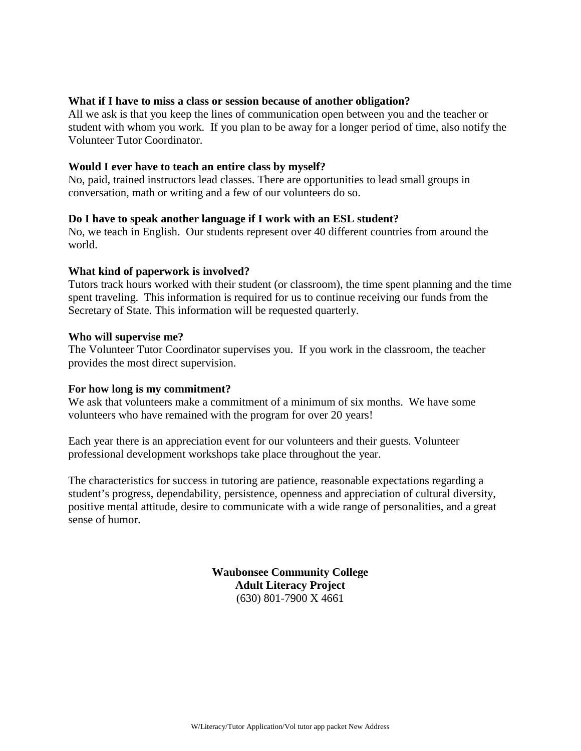### **What if I have to miss a class or session because of another obligation?**

All we ask is that you keep the lines of communication open between you and the teacher or student with whom you work. If you plan to be away for a longer period of time, also notify the Volunteer Tutor Coordinator.

#### **Would I ever have to teach an entire class by myself?**

No, paid, trained instructors lead classes. There are opportunities to lead small groups in conversation, math or writing and a few of our volunteers do so.

#### **Do I have to speak another language if I work with an ESL student?**

No, we teach in English. Our students represent over 40 different countries from around the world.

#### **What kind of paperwork is involved?**

Tutors track hours worked with their student (or classroom), the time spent planning and the time spent traveling. This information is required for us to continue receiving our funds from the Secretary of State. This information will be requested quarterly.

#### **Who will supervise me?**

The Volunteer Tutor Coordinator supervises you. If you work in the classroom, the teacher provides the most direct supervision.

#### **For how long is my commitment?**

We ask that volunteers make a commitment of a minimum of six months. We have some volunteers who have remained with the program for over 20 years!

Each year there is an appreciation event for our volunteers and their guests. Volunteer professional development workshops take place throughout the year.

The characteristics for success in tutoring are patience, reasonable expectations regarding a student's progress, dependability, persistence, openness and appreciation of cultural diversity, positive mental attitude, desire to communicate with a wide range of personalities, and a great sense of humor.

> **Waubonsee Community College Adult Literacy Project**  (630) 801-7900 X 4661